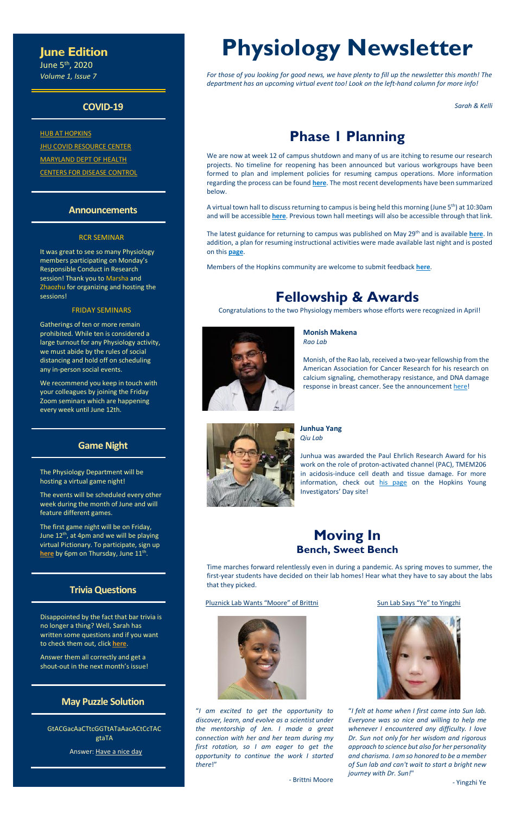### **June Edition**

June 5th, 2020 *Volume 1, Issue 7*

### **COVID-19**

**[HUB AT HOPKINS](https://hub.jhu.edu/novel-coronavirus-information/) JHU COVID [RESOURCE CENTER](https://coronavirus.jhu.edu/)** [MARYLAND DEPT OF HEALTH](https://coronavirus.maryland.gov/) [CENTERS FOR DISEASE CONTROL](https://www.cdc.gov/coronavirus/2019-ncov/index.html)

### **Announcements**

### RCR SEMINAR

It was great to see so many Physiology members participating on Monday's Responsible Conduct in Research session! Thank you to Marsha and Zhaozhu for organizing and hosting the sessions!

### FRIDAY SEMINARS

The first game night will be on Friday, June  $12<sup>th</sup>$ , at 4pm and we will be playing virtual Pictionary. To participate, sign up [here](https://forms.office.com/Pages/ResponsePage.aspx?id=OPSkn-axO0eAP4b4rt8N7Lvtb5rqdK1GtJp5wHrjrUdUMEtXQ04yTDJKNkhHRlBERkNXRE5BWkU0QS4u) by 6pm on Thursday, June 11<sup>th</sup>.

Gatherings of ten or more remain prohibited. While ten is considered a large turnout for any Physiology activity, we must abide by the rules of social distancing and hold off on scheduling any in-person social events.

We recommend you keep in touch with your colleagues by joining the Friday Zoom seminars which are happening every week until June 12th.

### **Game Night**

The Physiology Department will be hosting a virtual game night!

The events will be scheduled every other week during the month of June and will feature different games.

### **Trivia Questions**

A virtual town hall to discuss returning to campus is being held this morning (June 5<sup>th</sup>) at 10:30am and will be accessible **[here](https://hub.jhu.edu/novel-coronavirus-information/jhu-2020-planning/events/)**. Previous town hall meetings will also be accessible through that link.

Disappointed by the fact that bar trivia is no longer a thing? Well, Sarah has written some questions and if you want to check them out, click **[here](https://forms.office.com/Pages/ResponsePage.aspx?id=OPSkn-axO0eAP4b4rt8N7Lvtb5rqdK1GtJp5wHrjrUdUNzZKVzVBUFk0VkpFMTBPVFM1TzVBNTJWVC4u)**.

Answer them all correctly and get a shout-out in the next month's issue!

### **May Puzzle Solution**

GtACGacAaCTtcGGTtATaAacACtCcTAC gtaTA

Answer: Have a nice day

# **Physiology Newsletter**

*For those of you looking for good news, we have plenty to fill up the newsletter this month! The department has an upcoming virtual event too! Look on the left-hand column for more info!*

*Sarah & Kelli*

# **Phase 1 Planning**

We are now at week 12 of campus shutdown and many of us are itching to resume our research projects. No timeline for reopening has been announced but various workgroups have been formed to plan and implement policies for resuming campus operations. More information regarding the process can be found **[here](https://hub.jhu.edu/novel-coronavirus-information/jhu-2020-planning/)**. The most recent developments have been summarized below.

The latest guidance for returning to campus was published on May 29th and is available **[here](https://hub.jhu.edu/assets/uploads/sites/2/2020/05/JHU-Return-to-Campus-Guide.pdf)**. In addition, a plan for resuming instructional activities were made available last night and is posted on this **[page](https://hub.jhu.edu/assets/uploads/sites/2/2020/06/Return-to-Campus-Instructional-Guidelines-060420-CLEAN.pdf)**.

Members of the Hopkins community are welcome to submit feedback **[here](https://go.hub.jhu.edu/novel-coronavirus-information/jhu-2020-planning/comments/)**.

### **Fellowship & Awards**

Congratulations to the two Physiology members whose efforts were recognized in April!



**Monish Makena** *Rao Lab*

Monish, of the Rao lab, received a two-year fellowship from the American Association for Cancer Research for his research on calcium signaling, chemotherapy resistance, and DNA damage response in breast cancer. See the announcement [here!](https://twitter.com/madamscientist/status/1255607590685302784)



**Junhua Yang** *Qiu Lab*

Junhua was awarded the Paul Ehrlich Research Award for his work on the role of proton-activated channel (PAC), TMEM206 in acidosis-induce cell death and tissue damage. For more information, check out [his page](https://hopkinsyidp.org/people/junhua-yang/) on the Hopkins Young Investigators' Day site!

### **Moving In Bench, Sweet Bench**

Time marches forward relentlessly even in during a pandemic. As spring moves to summer, the first-year students have decided on their lab homes! Hear what they have to say about the labs that they picked.

#### Pluznick Lab Wants "Moore" of Brittni



"*I am excited to get the opportunity to discover, learn, and evolve as a scientist under the mentorship of Jen. I made a great connection with her and her team during my first rotation, so I am eager to get the opportunity to continue the work I started there*!"

- Brittni Moore

#### Sun Lab Says "Ye" to Yingzhi



"*I felt at home when I first came into Sun lab. Everyone was so nice and willing to help me whenever I encountered any difficulty. I love Dr. Sun not only for her wisdom and rigorous approach to science but also for her personality and charisma. I am so honored to be a member of Sun lab and can't wait to start a bright new journey with Dr. Sun!*"

- Yingzhi Ye